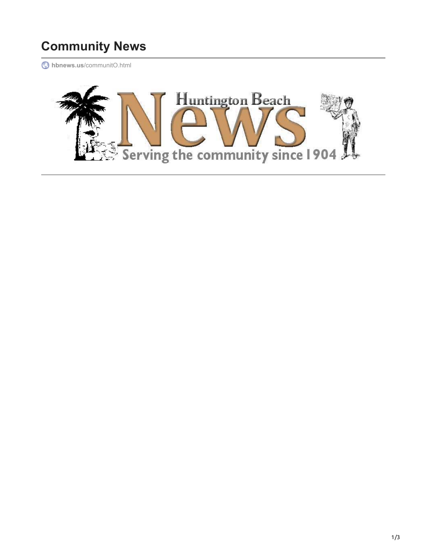## **Community News**

**hbnews.us**[/communitO.html](http://hbnews.us/communitO.html)

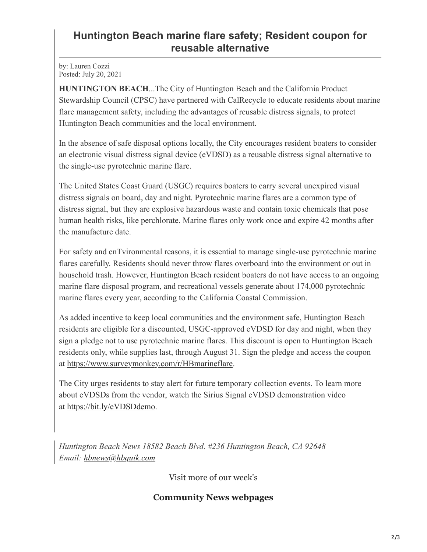## **Huntington Beach marine flare safety; Resident coupon for reusable alternative**

by: Lauren Cozzi Posted: July 20, 2021

**HUNTINGTON BEACH**...The City of Huntington Beach and the California Product Stewardship Council (CPSC) have partnered with CalRecycle to educate residents about marine flare management safety, including the advantages of reusable distress signals, to protect Huntington Beach communities and the local environment.

In the absence of safe disposal options locally, the City encourages resident boaters to consider an electronic visual distress signal device (eVDSD) as a reusable distress signal alternative to the single-use pyrotechnic marine flare.

The United States Coast Guard (USGC) requires boaters to carry several unexpired visual distress signals on board, day and night. Pyrotechnic marine flares are a common type of distress signal, but they are explosive hazardous waste and contain toxic chemicals that pose human health risks, like perchlorate. Marine flares only work once and expire 42 months after the manufacture date.

For safety and enTvironmental reasons, it is essential to manage single-use pyrotechnic marine flares carefully. Residents should never throw flares overboard into the environment or out in household trash. However, Huntington Beach resident boaters do not have access to an ongoing marine flare disposal program, and recreational vessels generate about 174,000 pyrotechnic marine flares every year, according to the California Coastal Commission.

As added incentive to keep local communities and the environment safe, Huntington Beach residents are eligible for a discounted, USGC-approved eVDSD for day and night, when they sign a pledge not to use pyrotechnic marine flares. This discount is open to Huntington Beach residents only, while supplies last, through August 31. Sign the pledge and access the coupon at [https://www.surveymonkey.com/r/HBmarineflare.](https://www.surveymonkey.com/r/HBmarineflare)

The City urges residents to stay alert for future temporary collection events. To learn more about eVDSDs from the vendor, watch the Sirius Signal eVDSD demonstration video at [https://bit.ly/eVDSDdemo.](https://bit.ly/eVDSDdemo)

*Huntington Beach News 18582 Beach Blvd. #236 Huntington Beach, CA 92648 Email: [hbnews@hbquik.com](mailto:hbnews@hbquik.com)*

Visit more of our week's

## **[Community News webpages](http://hbnews.us/index.html)**